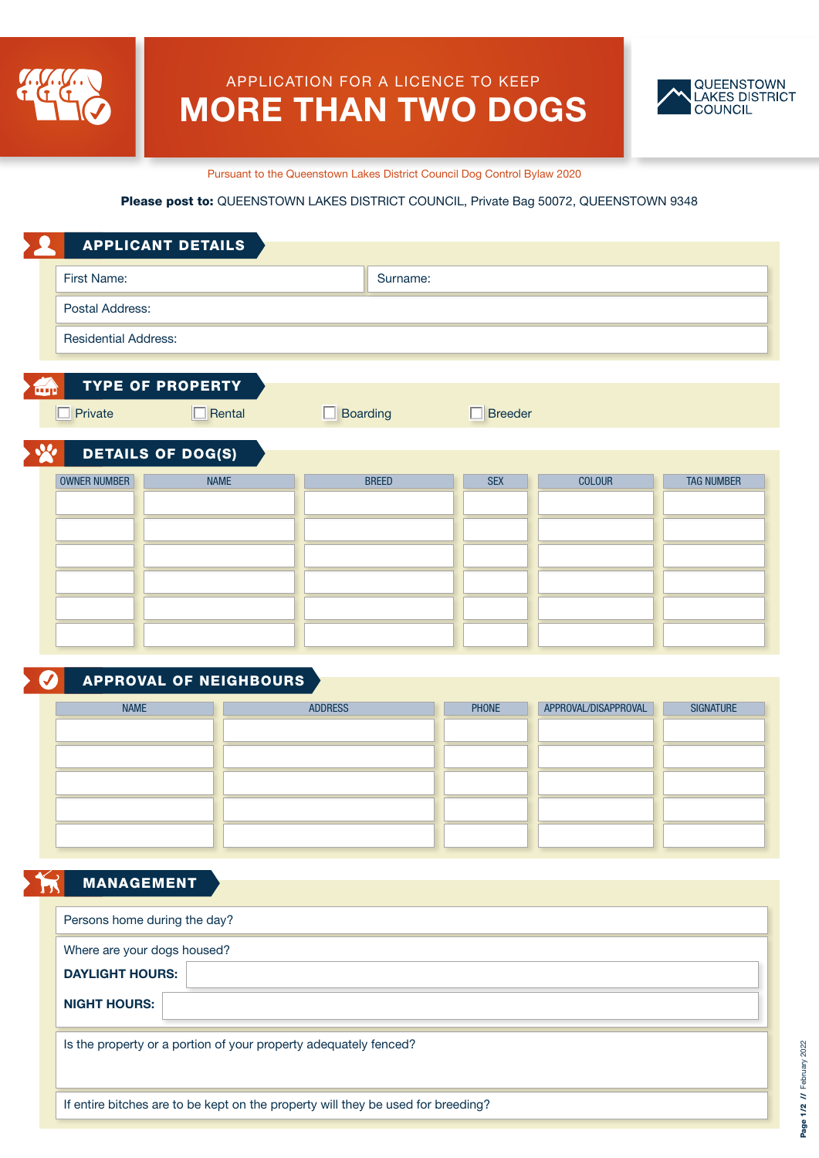

# APPLICATION FOR A LICENCE TO KEEP MORE THAN TWO DOGS



Pursuant to the Queenstown Lakes District Council Dog Control Bylaw 2020

#### Please post to: QUEENSTOWN LAKES DISTRICT COUNCIL, Private Bag 50072, QUEENSTOWN 9348

| <b>APPLICANT DETAILS</b>    |                         |                |               |                   |
|-----------------------------|-------------------------|----------------|---------------|-------------------|
|                             | Surname:                |                |               |                   |
|                             |                         |                |               |                   |
| <b>Residential Address:</b> |                         |                |               |                   |
|                             |                         |                |               |                   |
| $\Box$ Rental               | $\Box$ Boarding         | $\Box$ Breeder |               |                   |
| <b>DETAILS OF DOG(S)</b>    |                         |                |               |                   |
| <b>NAME</b>                 | <b>BREED</b>            | <b>SEX</b>     | <b>COLOUR</b> | <b>TAG NUMBER</b> |
|                             |                         |                |               |                   |
|                             |                         |                |               |                   |
|                             |                         |                |               |                   |
|                             |                         |                |               |                   |
|                             |                         |                |               |                   |
|                             |                         |                |               |                   |
|                             | <b>TYPE OF PROPERTY</b> |                |               |                   |

### APPROVAL OF NEIGHBOURS

| <b>NAME</b> | <b>ADDRESS</b> | PHONE | APPROVAL/DISAPPROVAL | <b>SIGNATURE</b> |
|-------------|----------------|-------|----------------------|------------------|
|             |                |       |                      |                  |
|             |                |       |                      |                  |
|             |                |       |                      |                  |
|             |                |       |                      |                  |
|             |                |       |                      |                  |
|             |                |       |                      |                  |

## MANAGEMENT

| Persons home during the day?                                                     |
|----------------------------------------------------------------------------------|
| Where are your dogs housed?                                                      |
| <b>DAYLIGHT HOURS:</b>                                                           |
| <b>NIGHT HOURS:</b>                                                              |
| Is the property or a portion of your property adequately fenced?                 |
| If entire bitches are to be kept on the property will they be used for breeding? |